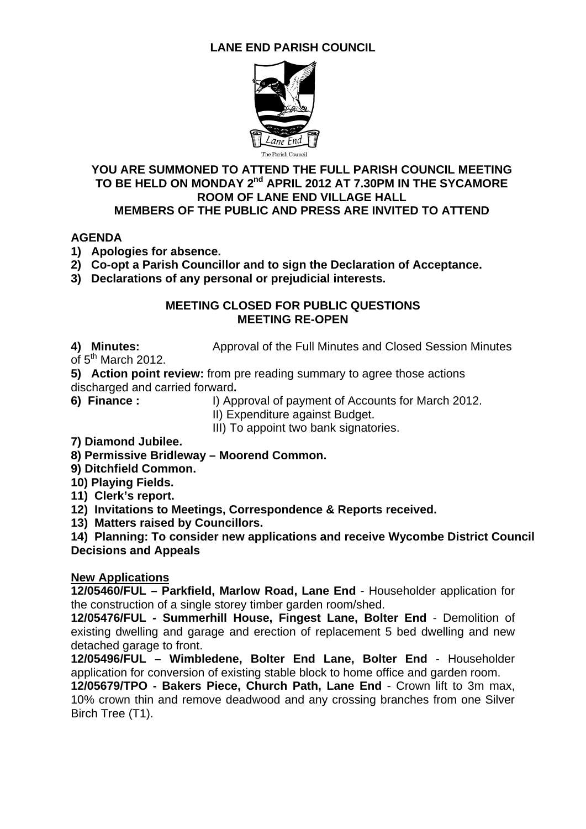## **LANE END PARISH COUNCIL**



#### **YOU ARE SUMMONED TO ATTEND THE FULL PARISH COUNCIL MEETING**  TO BE HELD ON MONDAY 2<sup>nd</sup> APRIL 2012 AT 7.30PM IN THE SYCAMORE **ROOM OF LANE END VILLAGE HALL MEMBERS OF THE PUBLIC AND PRESS ARE INVITED TO ATTEND**

#### **AGENDA**

- **1) Apologies for absence.**
- **2) Co-opt a Parish Councillor and to sign the Declaration of Acceptance.**
- **3) Declarations of any personal or prejudicial interests.**

#### **MEETING CLOSED FOR PUBLIC QUESTIONS MEETING RE-OPEN**

**4) Minutes:** Approval of the Full Minutes and Closed Session Minutes

of  $5<sup>th</sup>$  March 2012.

**5) Action point review:** from pre reading summary to agree those actions discharged and carried forward**.** 

**6) Finance :** I) Approval of payment of Accounts for March 2012.

II) Expenditure against Budget.

III) To appoint two bank signatories.

- **7) Diamond Jubilee.**
- **8) Permissive Bridleway Moorend Common.**
- **9) Ditchfield Common.**
- **10) Playing Fields.**
- **11) Clerk's report.**
- **12) Invitations to Meetings, Correspondence & Reports received.**
- **13) Matters raised by Councillors.**

**14) Planning: To consider new applications and receive Wycombe District Council Decisions and Appeals** 

#### **New Applications**

**12/05460/FUL – Parkfield, Marlow Road, Lane End** - Householder application for the construction of a single storey timber garden room/shed.

**12/05476/FUL - Summerhill House, Fingest Lane, Bolter End** - Demolition of existing dwelling and garage and erection of replacement 5 bed dwelling and new detached garage to front.

**12/05496/FUL – Wimbledene, Bolter End Lane, Bolter End** - Householder application for conversion of existing stable block to home office and garden room.

**12/05679/TPO - Bakers Piece, Church Path, Lane End** - Crown lift to 3m max, 10% crown thin and remove deadwood and any crossing branches from one Silver Birch Tree (T1).